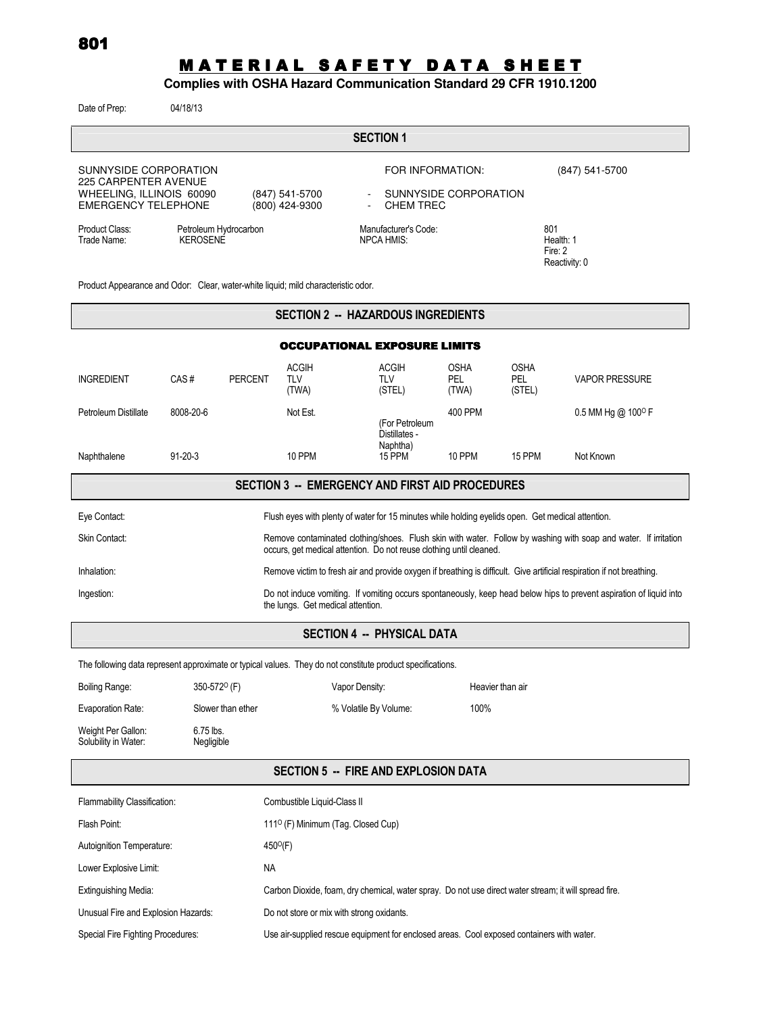# MATERIAL SAFETY DATA SHEET

## **Complies with OSHA Hazard Communication Standard 29 CFR 1910.1200**

Date of Prep: 04/18/13

| Date of Prep.                                                                                                                                                                                           | <b>04/10/19</b>         |                   |                                                                                                   |                                   |                                              |                             |                              |                                                                                                                        |  |
|---------------------------------------------------------------------------------------------------------------------------------------------------------------------------------------------------------|-------------------------|-------------------|---------------------------------------------------------------------------------------------------|-----------------------------------|----------------------------------------------|-----------------------------|------------------------------|------------------------------------------------------------------------------------------------------------------------|--|
|                                                                                                                                                                                                         |                         |                   |                                                                                                   | <b>SECTION 1</b>                  |                                              |                             |                              |                                                                                                                        |  |
| SUNNYSIDE CORPORATION                                                                                                                                                                                   |                         |                   |                                                                                                   |                                   | FOR INFORMATION:                             |                             |                              | (847) 541-5700                                                                                                         |  |
| <b>225 CARPENTER AVENUE</b><br>WHEELING, ILLINOIS 60090<br><b>EMERGENCY TELEPHONE</b>                                                                                                                   |                         |                   | SUNNYSIDE CORPORATION<br>(847) 541-5700<br>(800) 424-9300<br><b>CHEM TREC</b>                     |                                   |                                              |                             |                              |                                                                                                                        |  |
| Product Class:<br>Petroleum Hydrocarbon<br><b>KEROSENE</b><br>Trade Name:                                                                                                                               |                         |                   | Manufacturer's Code:<br><b>NPCA HMIS:</b>                                                         |                                   | 801<br>Health: 1<br>Fire: 2<br>Reactivity: 0 |                             |                              |                                                                                                                        |  |
| Product Appearance and Odor: Clear, water-white liquid; mild characteristic odor.                                                                                                                       |                         |                   |                                                                                                   |                                   |                                              |                             |                              |                                                                                                                        |  |
| <b>SECTION 2 -- HAZARDOUS INGREDIENTS</b>                                                                                                                                                               |                         |                   |                                                                                                   |                                   |                                              |                             |                              |                                                                                                                        |  |
| <b>OCCUPATIONAL EXPOSURE LIMITS</b>                                                                                                                                                                     |                         |                   |                                                                                                   |                                   |                                              |                             |                              |                                                                                                                        |  |
| <b>INGREDIENT</b>                                                                                                                                                                                       | CAS#                    | <b>PERCENT</b>    | <b>ACGIH</b><br>TLV<br>(TWA)                                                                      | <b>ACGIH</b><br>TLV<br>(STEL)     |                                              | <b>OSHA</b><br>PEL<br>(TWA) | <b>OSHA</b><br>PEL<br>(STEL) | <b>VAPOR PRESSURE</b>                                                                                                  |  |
| Petroleum Distillate                                                                                                                                                                                    | 8008-20-6               |                   | Not Est.                                                                                          |                                   | (For Petroleum<br>Distillates -              | 400 PPM                     |                              | $0.5$ MM Hg @ 100 <sup>o</sup> F                                                                                       |  |
| Naphthalene                                                                                                                                                                                             | $91 - 20 - 3$           |                   | 10 PPM                                                                                            | 15 PPM                            | Naphtha)                                     | 10 PPM                      | 15 PPM                       | Not Known                                                                                                              |  |
|                                                                                                                                                                                                         |                         |                   | <b>SECTION 3 -- EMERGENCY AND FIRST AID PROCEDURES</b>                                            |                                   |                                              |                             |                              |                                                                                                                        |  |
| Eye Contact:                                                                                                                                                                                            |                         |                   | Flush eyes with plenty of water for 15 minutes while holding eyelids open. Get medical attention. |                                   |                                              |                             |                              |                                                                                                                        |  |
| Skin Contact:<br>Remove contaminated clothing/shoes. Flush skin with water. Follow by washing with soap and water. If irritation<br>occurs, get medical attention. Do not reuse clothing until cleaned. |                         |                   |                                                                                                   |                                   |                                              |                             |                              |                                                                                                                        |  |
| Inhalation:                                                                                                                                                                                             |                         |                   |                                                                                                   |                                   |                                              |                             |                              | Remove victim to fresh air and provide oxygen if breathing is difficult. Give artificial respiration if not breathing. |  |
| Do not induce vomiting. If vomiting occurs spontaneously, keep head below hips to prevent aspiration of liquid into<br>Ingestion:<br>the lungs. Get medical attention.                                  |                         |                   |                                                                                                   |                                   |                                              |                             |                              |                                                                                                                        |  |
|                                                                                                                                                                                                         |                         |                   |                                                                                                   | <b>SECTION 4 -- PHYSICAL DATA</b> |                                              |                             |                              |                                                                                                                        |  |
| The following data represent approximate or typical values. They do not constitute product specifications.                                                                                              |                         |                   |                                                                                                   |                                   |                                              |                             |                              |                                                                                                                        |  |
| <b>Boiling Range:</b>                                                                                                                                                                                   | 350-572 $O$ (F)         |                   |                                                                                                   | Vapor Density:                    |                                              |                             | Heavier than air             |                                                                                                                        |  |
| Evaporation Rate:                                                                                                                                                                                       | Slower than ether       |                   |                                                                                                   | % Volatile By Volume:             |                                              | 100%                        |                              |                                                                                                                        |  |
| Weight Per Gallon:<br>Solubility in Water:                                                                                                                                                              | 6.75 lbs.<br>Negligible |                   |                                                                                                   |                                   |                                              |                             |                              |                                                                                                                        |  |
| <b>SECTION 5 -- FIRE AND EXPLOSION DATA</b>                                                                                                                                                             |                         |                   |                                                                                                   |                                   |                                              |                             |                              |                                                                                                                        |  |
| Flammability Classification:                                                                                                                                                                            |                         |                   | Combustible Liquid-Class II                                                                       |                                   |                                              |                             |                              |                                                                                                                        |  |
| Flash Point:                                                                                                                                                                                            |                         |                   | 111 <sup>o</sup> (F) Minimum (Tag. Closed Cup)                                                    |                                   |                                              |                             |                              |                                                                                                                        |  |
| Autoignition Temperature:                                                                                                                                                                               |                         | $450^{\circ}$ (F) |                                                                                                   |                                   |                                              |                             |                              |                                                                                                                        |  |
| Lower Explosive Limit:                                                                                                                                                                                  |                         | NA                |                                                                                                   |                                   |                                              |                             |                              |                                                                                                                        |  |
|                                                                                                                                                                                                         |                         |                   |                                                                                                   |                                   |                                              |                             |                              |                                                                                                                        |  |

Extinguishing Media: Carbon Dioxide, foam, dry chemical, water spray. Do not use direct water stream; it will spread fire.

Unusual Fire and Explosion Hazards: Do not store or mix with strong oxidants.

Special Fire Fighting Procedures: Use air-supplied rescue equipment for enclosed areas. Cool exposed containers with water.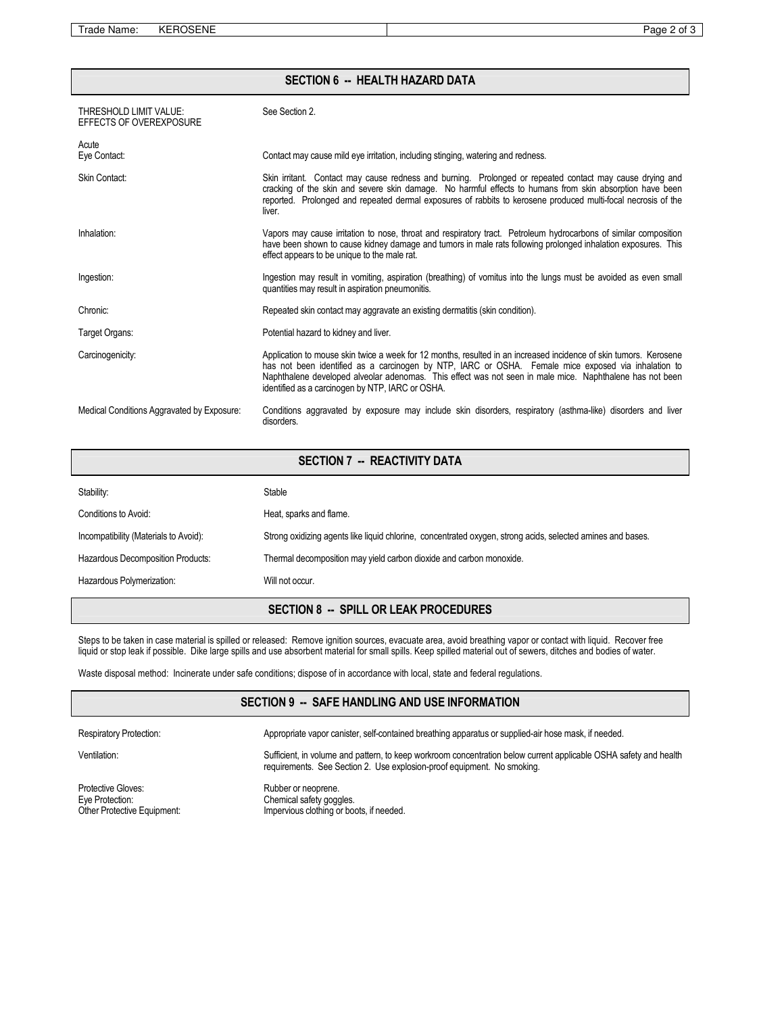Trade Name: KEROSENE Page 2 of 3

| <b>SECTION 6 -- HEALTH HAZARD DATA</b>            |                                                                                                                                                                                                                                                                                                                                                                                          |  |  |  |
|---------------------------------------------------|------------------------------------------------------------------------------------------------------------------------------------------------------------------------------------------------------------------------------------------------------------------------------------------------------------------------------------------------------------------------------------------|--|--|--|
| THRESHOLD LIMIT VALUE:<br>EFFECTS OF OVEREXPOSURE | See Section 2.                                                                                                                                                                                                                                                                                                                                                                           |  |  |  |
| Acute<br>Eye Contact:                             | Contact may cause mild eye irritation, including stinging, watering and redness.                                                                                                                                                                                                                                                                                                         |  |  |  |
| Skin Contact:                                     | Skin irritant. Contact may cause redness and burning. Prolonged or repeated contact may cause drying and<br>cracking of the skin and severe skin damage. No harmful effects to humans from skin absorption have been<br>reported. Prolonged and repeated dermal exposures of rabbits to kerosene produced multi-focal necrosis of the<br>liver.                                          |  |  |  |
| Inhalation:                                       | Vapors may cause irritation to nose, throat and respiratory tract. Petroleum hydrocarbons of similar composition<br>have been shown to cause kidney damage and tumors in male rats following prolonged inhalation exposures. This<br>effect appears to be unique to the male rat.                                                                                                        |  |  |  |
| Ingestion:                                        | Ingestion may result in vomiting, aspiration (breathing) of vomitus into the lungs must be avoided as even small<br>quantities may result in aspiration pneumonitis.                                                                                                                                                                                                                     |  |  |  |
| Chronic:                                          | Repeated skin contact may aggravate an existing dermatitis (skin condition).                                                                                                                                                                                                                                                                                                             |  |  |  |
| Target Organs:                                    | Potential hazard to kidney and liver.                                                                                                                                                                                                                                                                                                                                                    |  |  |  |
| Carcinogenicity:                                  | Application to mouse skin twice a week for 12 months, resulted in an increased incidence of skin tumors. Kerosene<br>has not been identified as a carcinogen by NTP, IARC or OSHA. Female mice exposed via inhalation to<br>Naphthalene developed alveolar adenomas. This effect was not seen in male mice. Naphthalene has not been<br>identified as a carcinogen by NTP, IARC or OSHA. |  |  |  |
| Medical Conditions Aggravated by Exposure:        | Conditions aggravated by exposure may include skin disorders, respiratory (asthma-like) disorders and liver<br>disorders.                                                                                                                                                                                                                                                                |  |  |  |

#### SECTION 7 -- REACTIVITY DATA

| Stability:                            | Stable                                                                                                      |
|---------------------------------------|-------------------------------------------------------------------------------------------------------------|
| Conditions to Avoid:                  | Heat, sparks and flame.                                                                                     |
| Incompatibility (Materials to Avoid): | Strong oxidizing agents like liquid chlorine, concentrated oxygen, strong acids, selected amines and bases. |
| Hazardous Decomposition Products:     | Thermal decomposition may yield carbon dioxide and carbon monoxide.                                         |
| Hazardous Polymerization:             | Will not occur.                                                                                             |

### SECTION 8 -- SPILL OR LEAK PROCEDURES

Steps to be taken in case material is spilled or released: Remove ignition sources, evacuate area, avoid breathing vapor or contact with liquid. Recover free liquid or stop leak if possible. Dike large spills and use absorbent material for small spills. Keep spilled material out of sewers, ditches and bodies of water.

Waste disposal method: Incinerate under safe conditions; dispose of in accordance with local, state and federal regulations.

#### SECTION 9 -- SAFE HANDLING AND USE INFORMATION

Respiratory Protection: **Appropriate vapor canister, self-contained breathing apparatus or supplied-air hose mask, if needed.** 

Ventilation: state of Sufficient, in volume and pattern, to keep workroom concentration below current applicable OSHA safety and health

requirements. See Section 2. Use explosion-proof equipment. No smoking.

Protective Gloves:  $\qquad \qquad$  Rubber or neoprene. Eye Protection: Chemical safety goggles.

Protective Gloves:<br>
Eye Protection: Impervious clothing or boots, if needed.<br>
Other Protective Equipment: Impervious clothing or boots, if needed.